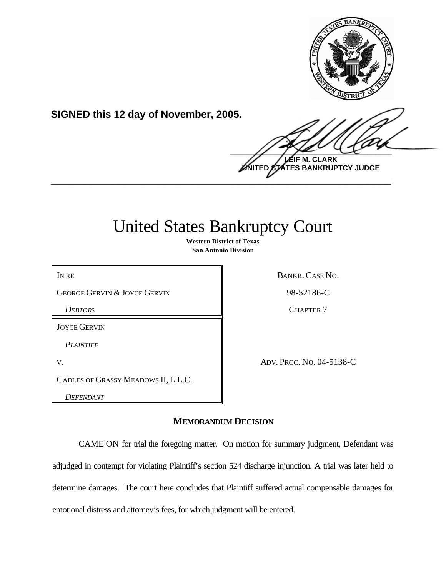

**SIGNED this 12 day of November, 2005.**

 $\frac{1}{2}$ **LEIF M. CLARK**

**UNITED STATES BANKRUPTCY JUDGE \_\_\_\_\_\_\_\_\_\_\_\_\_\_\_\_\_\_\_\_\_\_\_\_\_\_\_\_\_\_\_\_\_\_\_\_\_\_\_\_\_\_\_\_\_\_\_\_\_\_\_\_\_\_\_\_\_\_\_\_**

# United States Bankruptcy Court

**Western District of Texas San Antonio Division**

GEORGE GERVIN & JOYCE GERVIN 98-52186-C

**DEBTORS** CHAPTER 7

JOYCE GERVIN

*PLAINTIFF*

CADLES OF GRASSY MEADOWS II, L.L.C.

*DEFENDANT*

IN RE BANKR. CASE NO.

V. ADV. PROC. NO. 04-5138-C

**MEMORANDUM DECISION**

CAME ON for trial the foregoing matter. On motion for summary judgment, Defendant was adjudged in contempt for violating Plaintiff's section 524 discharge injunction. A trial was later held to determine damages. The court here concludes that Plaintiff suffered actual compensable damages for emotional distress and attorney's fees, for which judgment will be entered.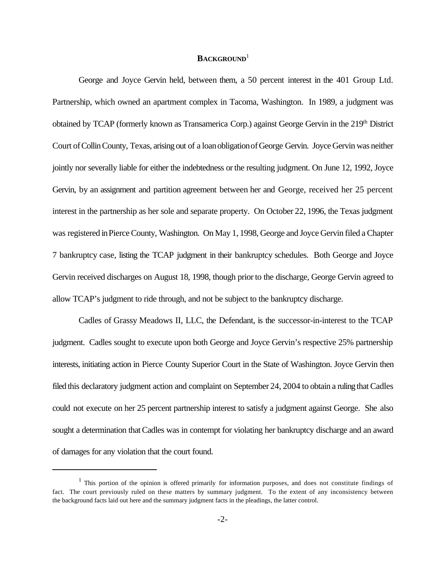# **BACKGROUND**<sup>1</sup>

George and Joyce Gervin held, between them, a 50 percent interest in the 401 Group Ltd. Partnership, which owned an apartment complex in Tacoma, Washington. In 1989, a judgment was obtained by TCAP (formerly known as Transamerica Corp.) against George Gervin in the 219<sup>th</sup> District Court ofCollinCounty, Texas, arising out of a loanobligationofGeorge Gervin. Joyce Gervin was neither jointly nor severally liable for either the indebtedness or the resulting judgment. On June 12, 1992, Joyce Gervin, by an assignment and partition agreement between her and George, received her 25 percent interest in the partnership as her sole and separate property. On October 22, 1996, the Texas judgment was registered inPierce County, Washington. On May 1, 1998, George and Joyce Gervin filed a Chapter 7 bankruptcy case, listing the TCAP judgment in their bankruptcy schedules. Both George and Joyce Gervin received discharges on August 18, 1998, though priorto the discharge, George Gervin agreed to allow TCAP's judgment to ride through, and not be subject to the bankruptcy discharge.

Cadles of Grassy Meadows II, LLC, the Defendant, is the successor-in-interest to the TCAP judgment. Cadles sought to execute upon both George and Joyce Gervin's respective 25% partnership interests, initiating action in Pierce County Superior Court in the State of Washington. Joyce Gervin then filed this declaratory judgment action and complaint on September 24, 2004 to obtain a ruling that Cadles could not execute on her 25 percent partnership interest to satisfy a judgment against George. She also sought a determination that Cadles was in contempt for violating her bankruptcy discharge and an award of damages for any violation that the court found.

<sup>&</sup>lt;sup>1</sup> This portion of the opinion is offered primarily for information purposes, and does not constitute findings of fact. The court previously ruled on these matters by summary judgment. To the extent of any inconsistency between the background facts laid out here and the summary judgment facts in the pleadings, the latter control.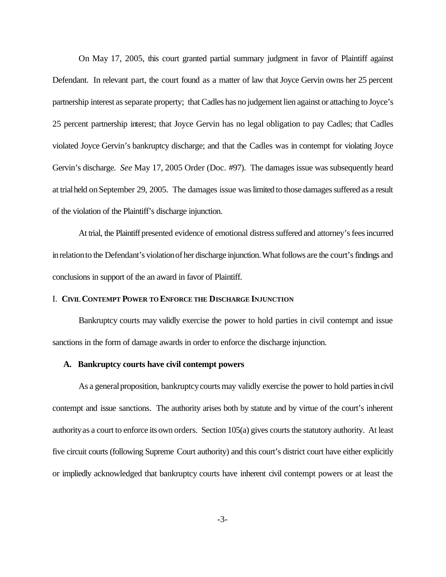On May 17, 2005, this court granted partial summary judgment in favor of Plaintiff against Defendant. In relevant part, the court found as a matter of law that Joyce Gervin owns her 25 percent partnership interest asseparate property; that Cadles has no judgement lien against or attaching to Joyce's 25 percent partnership interest; that Joyce Gervin has no legal obligation to pay Cadles; that Cadles violated Joyce Gervin's bankruptcy discharge; and that the Cadles was in contempt for violating Joyce Gervin's discharge. *See* May 17, 2005 Order (Doc. #97). The damages issue was subsequently heard at trial held on September 29, 2005. The damages issue was limited to those damages suffered as a result of the violation of the Plaintiff's discharge injunction.

At trial, the Plaintiff presented evidence of emotional distress suffered and attorney's fees incurred in relation to the Defendant's violation of her discharge injunction. What follows are the court's findings and conclusions in support of the an award in favor of Plaintiff.

### I. **CIVIL CONTEMPT POWER TO ENFORCE THE DISCHARGE INJUNCTION**

Bankruptcy courts may validly exercise the power to hold parties in civil contempt and issue sanctions in the form of damage awards in order to enforce the discharge injunction.

## **A. Bankruptcy courts have civil contempt powers**

As a general proposition, bankruptcy courts may validly exercise the power to hold parties in civil contempt and issue sanctions. The authority arises both by statute and by virtue of the court's inherent authorityas a court to enforce its own orders. Section 105(a) gives courts the statutory authority. At least five circuit courts (following Supreme Court authority) and this court's district court have either explicitly or impliedly acknowledged that bankruptcy courts have inherent civil contempt powers or at least the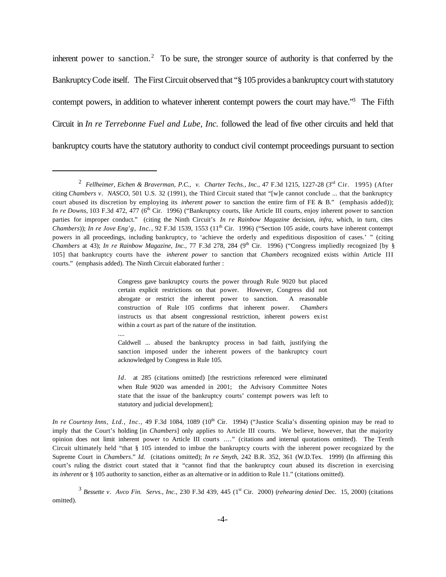inherent power to sanction.<sup>2</sup> To be sure, the stronger source of authority is that conferred by the BankruptcyCode itself. The First Circuit observed that "§ 105 provides a bankruptcy court with statutory contempt powers, in addition to whatever inherent contempt powers the court may have."<sup>3</sup> The Fifth Circuit in *In re Terrebonne Fuel and Lube, Inc.* followed the lead of five other circuits and held that bankruptcy courts have the statutory authority to conduct civil contempt proceedings pursuant to section

Congress gave bankruptcy courts the power through Rule 9020 but placed certain explicit restrictions on that power. However, Congress did not abrogate or restrict the inherent power to sanction. A reasonable construction of Rule 105 confirms that inherent power. *Chambers* instructs us that absent congressional restriction, inherent powers exist within a court as part of the nature of the institution.

Caldwell ... abused the bankruptcy process in bad faith, justifying the sanction imposed under the inherent powers of the bankruptcy court acknowledged by Congress in Rule 105.

....

*Id.* at 285 (citations omitted) [the restrictions referenced were eliminated when Rule 9020 was amended in 2001; the Advisory Committee Notes state that the issue of the bankruptcy courts' contempt powers was left to statutory and judicial development];

<sup>2</sup> *Fellheimer, Eichen & Braverman, P.C., v. Charter Techs., Inc.,* 47 F.3d 1215, 1227-28 (3rd Cir. 1995) (After citing *Chambers v. NASCO*, 501 U.S. 32 (1991), the Third Circuit stated that "[w]e cannot conclude ... that the bankruptcy court abused its discretion by employing its *inherent power* to sanction the entire firm of FE & B." (emphasis added)); *In re Downs*, 103 F.3d 472, 477 (6<sup>th</sup> Cir. 1996) ("Bankruptcy courts, like Article III courts, enjoy inherent power to sanction parties for improper conduct." (citing the Ninth Circuit's *In re Rainbow Magazine* decision, *infra*, which, in turn, cites *Chambers*)); *In re Jove Eng'g, Inc.,* 92 F.3d 1539, 1553 (11<sup>th</sup> Cir. 1996) ("Section 105 aside, courts have inherent contempt powers in all proceedings, including bankruptcy, to 'achieve the orderly and expeditious disposition of cases.' " (citing *Chambers* at 43); *In re Rainbow Magazine, Inc.,* 77 F.3d 278, 284 (9<sup>th</sup> Cir. 1996) ("Congress impliedly recognized [by § 105] that bankruptcy courts have the *inherent power* to sanction that *Chambers* recognized exists within Article III courts." (emphasis added). The Ninth Circuit elaborated further :

*In re Courtesy Inns, Ltd., Inc.,* 49 F.3d 1084, 1089 (10<sup>th</sup> Cir. 1994) ("Justice Scalia's dissenting opinion may be read to imply that the Court's holding [in *Chambers*] only applies to Article III courts. We believe, however, that the majority opinion does not limit inherent power to Article III courts ...." (citations and internal quotations omitted). The Tenth Circuit ultimately held "that § 105 intended to imbue the bankruptcy courts with the inherent power recognized by the Supreme Court in *Chambers*." *Id.* (citations omitted); *In re Smyth*, 242 B.R. 352, 361 (W.D.Tex. 1999) (In affirming this court's ruling the district court stated that it "cannot find that the bankruptcy court abused its discretion in exercising *its inherent* or § 105 authority to sanction, either as an alternative or in addition to Rule 11." (citations omitted).

<sup>&</sup>lt;sup>3</sup> Bessette *v. Avco Fin. Servs., Inc.,* 230 F.3d 439, 445 (1<sup>st</sup> Cir. 2000) (*rehearing denied* Dec. 15, 2000) (citations omitted).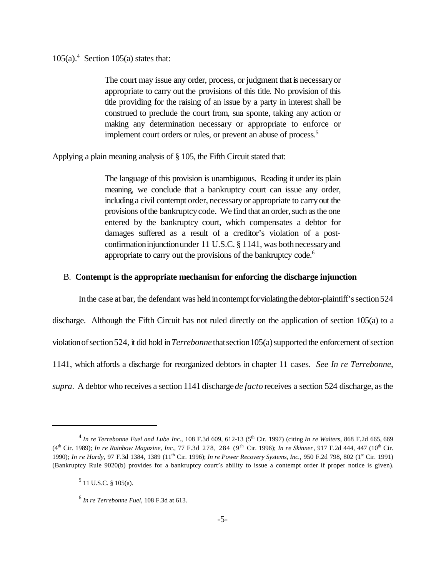$105(a)$ .<sup>4</sup> Section 105(a) states that:

The court may issue any order, process, or judgment that is necessaryor appropriate to carry out the provisions of this title. No provision of this title providing for the raising of an issue by a party in interest shall be construed to preclude the court from, sua sponte, taking any action or making any determination necessary or appropriate to enforce or implement court orders or rules, or prevent an abuse of process.<sup>5</sup>

Applying a plain meaning analysis of § 105, the Fifth Circuit stated that:

The language of this provision is unambiguous. Reading it under its plain meaning, we conclude that a bankruptcy court can issue any order, including a civil contempt order, necessaryor appropriate to carryout the provisions of the bankruptcy code. We find that an order, such as the one entered by the bankruptcy court, which compensates a debtor for damages suffered as a result of a creditor's violation of a postconfirmation injunction under 11 U.S.C. § 1141, was both necessary and appropriate to carry out the provisions of the bankruptcy code.<sup>6</sup>

#### B. **Contempt is the appropriate mechanism for enforcing the discharge injunction**

In the case at bar, the defendant was held incontempt for violating the debtor-plaintiff's section 524

discharge. Although the Fifth Circuit has not ruled directly on the application of section 105(a) to a violation of section 524, it did hold in *Terrebonne* that section 105(a) supported the enforcement of section 1141, which affords a discharge for reorganized debtors in chapter 11 cases. *See In re Terrebonne*,

*supra*. A debtor who receives a section 1141 discharge *de facto* receives a section 524 discharge, asthe

<sup>4</sup> *In re Terrebonne Fuel and Lube Inc.*, 108 F.3d 609, 612-13 (5th Cir. 1997) (citing *In re Walters*, 868 F.2d 665, 669 (4th Cir. 1989); *In re Rainbow Magazine, Inc.,* 77 F.3d 278, 284 (9th Cir. 1996); *In re Skinner*, 917 F.2d 444, 447 (10th Cir. 1990); *In re Hardy*, 97 F.3d 1384, 1389 (11<sup>th</sup> Cir. 1996); *In re Power Recovery Systems, Inc.*, 950 F.2d 798, 802 (1<sup>st</sup> Cir. 1991) (Bankruptcy Rule 9020(b) provides for a bankruptcy court's ability to issue a contempt order if proper notice is given).

 $<sup>5</sup>$  11 U.S.C. § 105(a).</sup>

<sup>6</sup> *In re Terrebonne Fuel,* 108 F.3d at 613.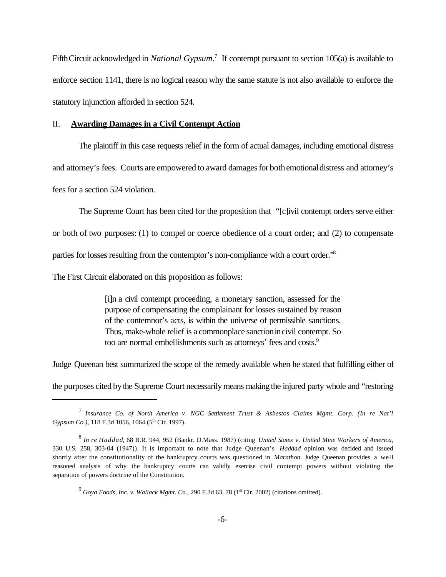FifthCircuit acknowledged in *National Gypsum*. 7 If contempt pursuant to section 105(a) is available to enforce section 1141, there is no logical reason why the same statute is not also available to enforce the statutory injunction afforded in section 524.

#### II. **Awarding Damages in a Civil Contempt Action**

The plaintiff in this case requests relief in the form of actual damages, including emotional distress and attorney's fees. Courts are empowered to award damages for both emotional distress and attorney's fees for a section 524 violation.

The Supreme Court has been cited for the proposition that "[c]ivil contempt orders serve either

or both of two purposes: (1) to compel or coerce obedience of a court order; and (2) to compensate

parties for losses resulting from the contemptor's non-compliance with a court order."<sup>8</sup>

The First Circuit elaborated on this proposition as follows:

[i]n a civil contempt proceeding, a monetary sanction, assessed for the purpose of compensating the complainant for losses sustained by reason of the contemnor's acts, is within the universe of permissible sanctions. Thus, make-whole relief is a commonplace sanction in civil contempt. So too are normal embellishments such as attorneys' fees and costs.<sup>9</sup>

Judge Queenan best summarized the scope of the remedy available when he stated that fulfilling either of

the purposes cited bythe Supreme Court necessarilymeans making the injured party whole and "restoring

<sup>7</sup> *Insurance Co. of North America v. NGC Settlement Trust & Asbestos Claims Mgmt. Corp. (In re Nat'l Gypsum Co.)*, 118 F.3d 1056, 1064 (5<sup>th</sup> Cir. 1997).

<sup>8</sup> *In re Haddad*, 68 B.R. 944, 952 (Bankr. D.Mass. 1987) (citing *United States v. United Mine Workers of America*, 330 U.S. 258, 303-04 (1947)). It is important to note that Judge Queenan's *Haddad* opinion was decided and issued shortly after the constitutionality of the bankruptcy courts was questioned in *Marathon*. Judge Queenan provides a well reasoned analysis of why the bankruptcy courts can validly exercise civil contempt powers without violating the separation of powers doctrine of the Constitution.

<sup>&</sup>lt;sup>9</sup> Gova Foods, Inc. v. Wallack Mgmt. Co., 290 F.3d 63, 78 (1<sup>st</sup> Cir. 2002) (citations omitted).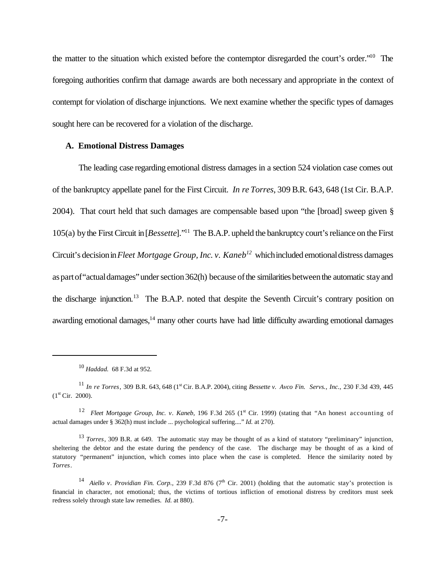the matter to the situation which existed before the contemptor disregarded the court's order."<sup>10</sup> The foregoing authorities confirm that damage awards are both necessary and appropriate in the context of contempt for violation of discharge injunctions. We next examine whether the specific types of damages sought here can be recovered for a violation of the discharge.

### **A. Emotional Distress Damages**

The leading case regarding emotional distress damages in a section 524 violation case comes out of the bankruptcy appellate panel for the First Circuit. *In re Torres*, 309 B.R. 643, 648 (1st Cir. B.A.P. 2004). That court held that such damages are compensable based upon "the [broad] sweep given § 105(a) bythe FirstCircuit in[*Bessette*]."<sup>11</sup> The B.A.P. upheld the bankruptcy court's reliance on the First Circuit's decisionin*Fleet Mortgage Group, Inc. v. Kaneb<sup>12</sup>* whichincluded emotionaldistress damages as part of "actual damages" under section 362(h) because of the similarities between the automatic stay and the discharge injunction.<sup>13</sup> The B.A.P. noted that despite the Seventh Circuit's contrary position on awarding emotional damages,<sup>14</sup> many other courts have had little difficulty awarding emotional damages

<sup>10</sup> *Haddad.* 68 F.3d at 952*.*

<sup>11</sup> *In re Torres*, 309 B.R. 643, 648 (1st Cir. B.A.P. 2004), citing *Bessette v. Avco Fin. Servs., Inc.,* 230 F.3d 439, 445  $(1<sup>st</sup> Cir. 2000).$ 

<sup>&</sup>lt;sup>12</sup> *Fleet Mortgage Group, Inc. v. Kaneb,* 196 F.3d 265 (1<sup>st</sup> Cir. 1999) (stating that "An honest accounting of actual damages under § 362(h) must include ... psychological suffering...." *Id.* at 270).

<sup>13</sup> *Torres*, 309 B.R. at 649. The automatic stay may be thought of as a kind of statutory "preliminary" injunction, sheltering the debtor and the estate during the pendency of the case. The discharge may be thought of as a kind of statutory "permanent" injunction, which comes into place when the case is completed. Hence the similarity noted by *Torres*.

<sup>&</sup>lt;sup>14</sup> *Aiello v. Providian Fin. Corp.*, 239 F.3d 876 (7<sup>th</sup> Cir. 2001) (holding that the automatic stay's protection is financial in character, not emotional; thus, the victims of tortious infliction of emotional distress by creditors must seek redress solely through state law remedies. *Id.* at 880).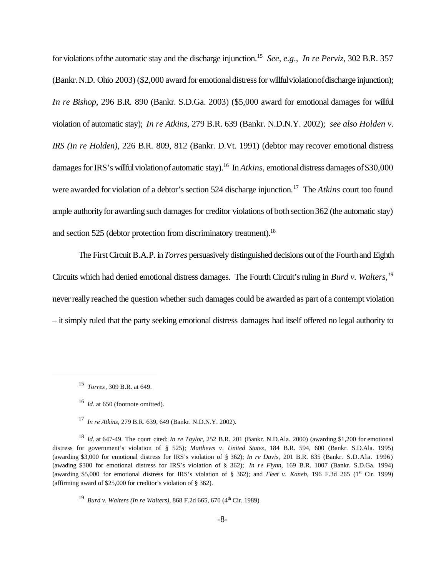for violations ofthe automatic stay and the discharge injunction.<sup>15</sup> *See*, *e.g*., *In re Perviz*, 302 B.R. 357 (Bankr. N.D. Ohio 2003) (\$2,000 award for emotional distress for willful violationof discharge injunction); *In re Bishop*, 296 B.R. 890 (Bankr. S.D.Ga. 2003) (\$5,000 award for emotional damages for willful violation of automatic stay); *In re Atkins,* 279 B.R. 639 (Bankr. N.D.N.Y. 2002); *see also Holden v. IRS (In re Holden)*, 226 B.R. 809, 812 (Bankr. D.Vt. 1991) (debtor may recover emotional distress damages for IRS's willful violation of automatic stay).<sup>16</sup> In *Atkins*, emotional distress damages of \$30,000 were awarded for violation of a debtor's section 524 discharge injunction.<sup>17</sup> The *Atkins* court too found ample authority for awarding such damages for creditor violations of both section 362 (the automatic stay) and section 525 (debtor protection from discriminatory treatment).<sup>18</sup>

The FirstCircuit B.A.P. in*Torres* persuasively distinguished decisions out ofthe Fourthand Eighth Circuits which had denied emotional distress damages. The Fourth Circuit's ruling in *Burd v. Walters,<sup>19</sup>* never really reached the question whether such damages could be awarded as part of a contempt violation – it simply ruled that the party seeking emotional distress damages had itself offered no legal authority to

<sup>15</sup> *Torres*, 309 B.R. at 649.

<sup>16</sup> *Id.* at 650 (footnote omitted).

<sup>17</sup> *In re Atkins*, 279 B.R. 639, 649 (Bankr. N.D.N.Y. 2002).

<sup>18</sup> *Id*. at 647-49. The court cited: *In re Taylor*, 252 B.R. 201 (Bankr. N.D.Ala. 2000) (awarding \$1,200 for emotional distress for government's violation of § 525); *Matthews v. United States*, 184 B.R. 594, 600 (Bankr. S.D.Ala. 1995) (awarding \$3,000 for emotional distress for IRS's violation of § 362); *In re Davis*, 201 B.R. 835 (Bankr. S.D.Ala. 1996) (awading \$300 for emotional distress for IRS's violation of § 362); *In re Flynn*, 169 B.R. 1007 (Bankr. S.D.Ga. 1994) (awarding \$5,000 for emotional distress for IRS's violation of § 362); and *Fleet v. Kaneb*, 196 F.3d 265 ( $1<sup>st</sup>$  Cir. 1999) (affirming award of \$25,000 for creditor's violation of § 362).

<sup>&</sup>lt;sup>19</sup> Burd v. Walters (In re Walters), 868 F.2d 665, 670 (4<sup>th</sup> Cir. 1989)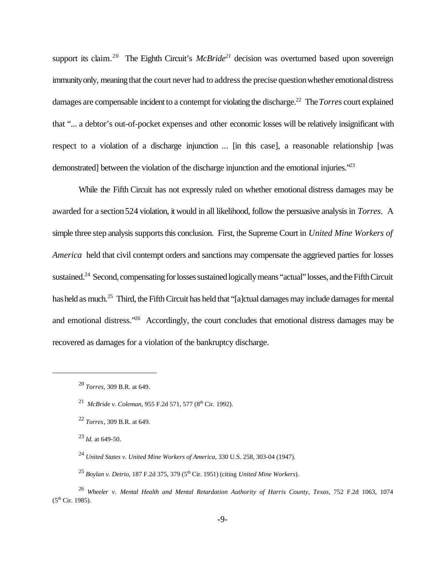support its claim.<sup>20</sup> The Eighth Circuit's *McBride*<sup>21</sup> decision was overturned based upon sovereign immunity only, meaning that the court never had to address the precise question whether emotional distress damages are compensable incident to a contempt for violating the discharge.<sup>22</sup> The *Torres* court explained that "... a debtor's out-of-pocket expenses and other economic losses will be relatively insignificant with respect to a violation of a discharge injunction ... [in this case], a reasonable relationship [was demonstrated] between the violation of the discharge injunction and the emotional injuries.<sup>223</sup>

While the Fifth Circuit has not expressly ruled on whether emotional distress damages may be awarded for a section524 violation, it would in all likelihood, follow the persuasive analysis in *Torres*. A simple three step analysis supports this conclusion. First, the Supreme Court in *United Mine Workers of America* held that civil contempt orders and sanctions may compensate the aggrieved parties for losses sustained.<sup>24</sup> Second, compensating for losses sustained logically means "actual" losses, and the Fifth Circuit has held as much.<sup>25</sup> Third, the Fifth Circuit has held that "[a]ctual damages may include damages for mental and emotional distress."<sup>26</sup> Accordingly, the court concludes that emotional distress damages may be recovered as damages for a violation of the bankruptcy discharge.

<sup>20</sup> *Torres,* 309 B.R. at 649.

<sup>&</sup>lt;sup>21</sup> McBride v. Coleman, 955 F.2d 571, 577 (8<sup>th</sup> Cir. 1992).

<sup>22</sup> *Torres*, 309 B.R. at 649.

<sup>23</sup> *Id.* at 649-50.

<sup>24</sup> *United States v. United Mine Workers of America*, 330 U.S. 258, 303-04 (1947).

<sup>&</sup>lt;sup>25</sup> *Boylan v. Detrio*, 187 F.2d 375, 379 (5<sup>th</sup> Cir. 1951) (citing *United Mine Workers*).

<sup>26</sup> *Wheeler v. Mental Health and Mental Retardation Authority of Harris County, Texas*, 752 F.2d 1063, 1074  $(5^{th}$  Cir. 1985).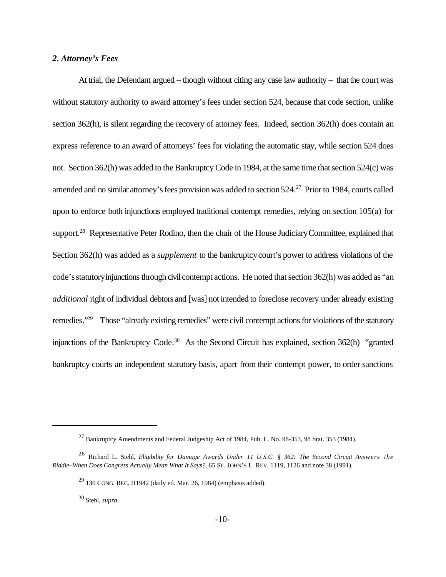## *2. Attorney's Fees*

At trial, the Defendant argued – though without citing any case law authority – that the court was without statutory authority to award attorney's fees under section 524, because that code section, unlike section 362(h), is silent regarding the recovery of attorney fees. Indeed, section 362(h) does contain an express reference to an award of attorneys' fees for violating the automatic stay, while section 524 does not. Section 362(h) was added to the Bankruptcy Code in 1984, at the same time that section 524(c) was amended and no similar attorney's fees provision was added to section 524.<sup>27</sup> Prior to 1984, courts called upon to enforce both injunctions employed traditional contempt remedies, relying on section 105(a) for support.<sup>28</sup> Representative Peter Rodino, then the chair of the House Judiciary Committee, explained that Section 362(h) was added as a *supplement* to the bankruptcy court's power to address violations of the code'sstatutoryinjunctions through civil contempt actions. He noted that section 362(h) was added as "an *additional* right of individual debtors and [was] not intended to foreclose recovery under already existing remedies."<sup>29</sup> Those "already existing remedies" were civil contempt actions for violations of the statutory injunctions of the Bankruptcy Code.<sup>30</sup> As the Second Circuit has explained, section 362(h) "granted bankruptcy courts an independent statutory basis, apart from their contempt power, to order sanctions

 $^{27}$  Bankruptcy Amendments and Federal Judgeship Act of 1984, Pub. L. No. 98-353, 98 Stat. 353 (1984).

<sup>28</sup> Richard L. Stehl, *Eligibility for Damage Awards Under 11 U.S.C. § 362: The Second Circuit Answers the Riddle–When Does Congress Actually Mean What It Says?*, 65 ST. JOHN'S L. REV. 1119, 1126 and note 38 (1991).

 $^{29}$  130 CONG. REC. H1942 (daily ed. Mar. 26, 1984) (emphasis added).

<sup>30</sup> Stehl, *supra*.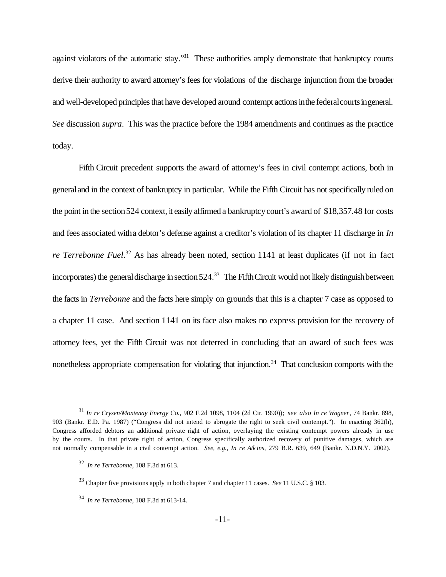against violators of the automatic stay."<sup>31</sup> These authorities amply demonstrate that bankruptcy courts derive their authority to award attorney's fees for violations of the discharge injunction from the broader and well-developed principles that have developed around contempt actions in the federal courts in general. *See* discussion *supra*. This was the practice before the 1984 amendments and continues as the practice today.

Fifth Circuit precedent supports the award of attorney's fees in civil contempt actions, both in generaland in the context of bankruptcy in particular. While the Fifth Circuit has not specifically ruled on the point in the section 524 context, it easily affirmed a bankruptcy court's award of \$18,357.48 for costs and fees associated witha debtor's defense against a creditor's violation of its chapter 11 discharge in *In re Terrebonne Fuel*. <sup>32</sup> As has already been noted, section 1141 at least duplicates (if not in fact incorporates) the general discharge in section  $524.^{33}$  The Fifth Circuit would not likely distinguish between the facts in *Terrebonne* and the facts here simply on grounds that this is a chapter 7 case as opposed to a chapter 11 case. And section 1141 on its face also makes no express provision for the recovery of attorney fees, yet the Fifth Circuit was not deterred in concluding that an award of such fees was nonetheless appropriate compensation for violating that injunction.<sup>34</sup> That conclusion comports with the

<sup>31</sup> *In re Crysen/Montenay Energy Co.,* 902 F.2d 1098, 1104 (2d Cir. 1990)); *see also In re Wagner*, 74 Bankr. 898, 903 (Bankr. E.D. Pa. 1987) ("Congress did not intend to abrogate the right to seek civil contempt."). In enacting 362(h), Congress afforded debtors an additional private right of action, overlaying the existing contempt powers already in use by the courts. In that private right of action, Congress specifically authorized recovery of punitive damages, which are not normally compensable in a civil contempt action. *See, e.g., In re Atk ins*, 279 B.R. 639, 649 (Bankr. N.D.N.Y. 2002).

<sup>32</sup> *In re Terrebonne,* 108 F.3d at 613.

<sup>33</sup> Chapter five provisions apply in both chapter 7 and chapter 11 cases. *See* 11 U.S.C. § 103.

<sup>34</sup> *In re Terrebonne,* 108 F.3d at 613-14.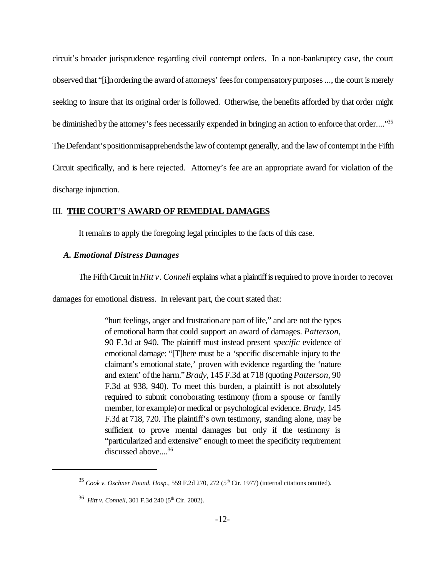circuit's broader jurisprudence regarding civil contempt orders. In a non-bankruptcy case, the court observed that "[i]n ordering the award of attorneys' fees for compensatory purposes ..., the court is merely seeking to insure that its original order is followed. Otherwise, the benefits afforded by that order might be diminished by the attorney's fees necessarily expended in bringing an action to enforce that order...."<sup>35</sup> The Defendant's position misapprehends the law of contempt generally, and the law of contempt in the Fifth Circuit specifically, and is here rejected. Attorney's fee are an appropriate award for violation of the discharge injunction.

#### III. **THE COURT'S AWARD OF REMEDIAL DAMAGES**

It remains to apply the foregoing legal principles to the facts of this case.

#### *A. Emotional Distress Damages*

The Fifth Circuit in *Hitt v. Connell* explains what a plaintiff is required to prove in order to recover

damages for emotional distress. In relevant part, the court stated that:

"hurt feelings, anger and frustration are part of life," and are not the types of emotional harm that could support an award of damages. *Patterson,* 90 F.3d at 940. The plaintiff must instead present *specific* evidence of emotional damage: "[T]here must be a 'specific discernable injury to the claimant's emotional state,' proven with evidence regarding the 'nature and extent' ofthe harm."*Brady,* 145 F.3d at 718 (quoting*Patterson*, 90 F.3d at 938, 940). To meet this burden, a plaintiff is not absolutely required to submit corroborating testimony (from a spouse or family member, for example) or medical or psychological evidence. *Brady*, 145 F.3d at 718, 720. The plaintiff's own testimony, standing alone, may be sufficient to prove mental damages but only if the testimony is "particularized and extensive" enough tomeet the specificity requirement discussed above....<sup>36</sup>

<sup>&</sup>lt;sup>35</sup> *Cook v. Oschner Found. Hosp.*, 559 F.2d 270, 272 (5<sup>th</sup> Cir. 1977) (internal citations omitted).

<sup>&</sup>lt;sup>36</sup> Hitt v. Connell, 301 F.3d 240 (5<sup>th</sup> Cir. 2002).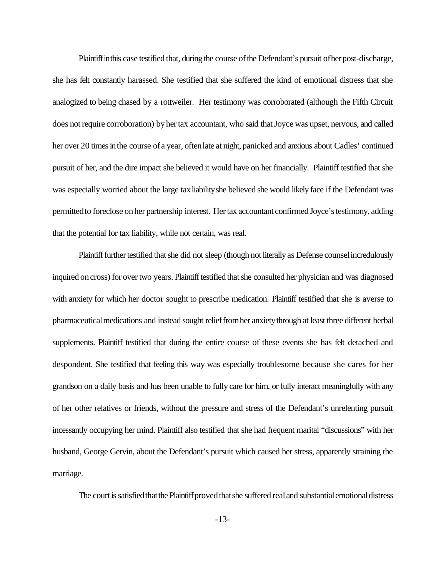Plaintiff in this case testified that, during the course of the Defendant's pursuit of her post-discharge, she has felt constantly harassed. She testified that she suffered the kind of emotional distress that she analogized to being chased by a rottweiler. Her testimony was corroborated (although the Fifth Circuit does not require corroboration) by her tax accountant, who said that Joyce was upset, nervous, and called her over 20 times in the course of a year, often late at night, panicked and anxious about Cadles' continued pursuit of her, and the dire impact she believed it would have on her financially. Plaintiff testified that she was especially worried about the large taxliabilityshe believed she would likely face if the Defendant was permittedto foreclose onher partnership interest. Her tax accountant confirmed Joyce's testimony, adding that the potential for tax liability, while not certain, was real.

Plaintiff further testified that she did not sleep (though not literally as Defense counsel incredulously inquired on cross) for over two years. Plaintiff testified that she consulted her physician and was diagnosed with anxiety for which her doctor sought to prescribe medication. Plaintiff testified that she is averse to pharmaceutical medications and instead sought relief from her anxiety through at least three different herbal supplements. Plaintiff testified that during the entire course of these events she has felt detached and despondent. She testified that feeling this way was especially troublesome because she cares for her grandson on a daily basis and has been unable to fully care for him, or fully interact meaningfully with any of her other relatives or friends, without the pressure and stress of the Defendant's unrelenting pursuit incessantly occupying her mind. Plaintiff also testified that she had frequent marital "discussions" with her husband, George Gervin, about the Defendant's pursuit which caused her stress, apparently straining the marriage.

The court is satisfied that the Plaintiff proved that she suffered real and substantial emotional distress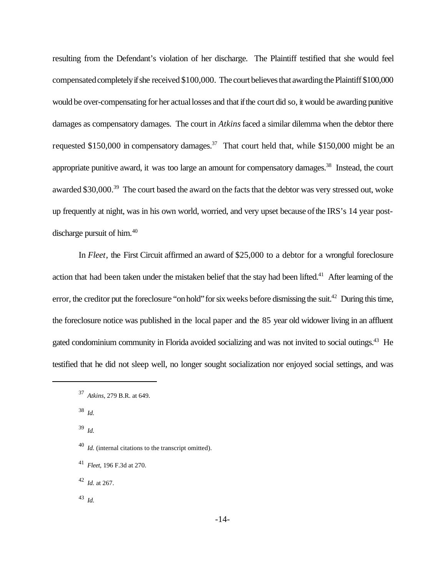resulting from the Defendant's violation of her discharge. The Plaintiff testified that she would feel compensated completely if she received \$100,000. The court believes that awarding the Plaintiff \$100,000 would be over-compensating for her actual losses and that if the court did so, it would be awarding punitive damages as compensatory damages. The court in *Atkins* faced a similar dilemma when the debtor there requested \$150,000 in compensatory damages.<sup>37</sup> That court held that, while \$150,000 might be an appropriate punitive award, it was too large an amount for compensatory damages.<sup>38</sup> Instead, the court awarded \$30,000.<sup>39</sup> The court based the award on the facts that the debtor was very stressed out, woke up frequently at night, was in his own world, worried, and very upset because ofthe IRS's 14 year postdischarge pursuit of him.<sup>40</sup>

In *Fleet*, the First Circuit affirmed an award of \$25,000 to a debtor for a wrongful foreclosure action that had been taken under the mistaken belief that the stay had been lifted.<sup>41</sup> After learning of the error, the creditor put the foreclosure "on hold" for six weeks before dismissing the suit.<sup>42</sup> During this time, the foreclosure notice was published in the local paper and the 85 year old widower living in an affluent gated condominium community in Florida avoided socializing and was not invited to social outings.<sup>43</sup> He testified that he did not sleep well, no longer sought socialization nor enjoyed social settings, and was

38 *Id.*

39 *Id.*

43 *Id.*

<sup>37</sup> *Atkins*, 279 B.R. at 649.

<sup>40</sup> *Id.* (internal citations to the transcript omitted).

<sup>41</sup> *Fleet*, 196 F.3d at 270.

<sup>42</sup> *Id.* at 267.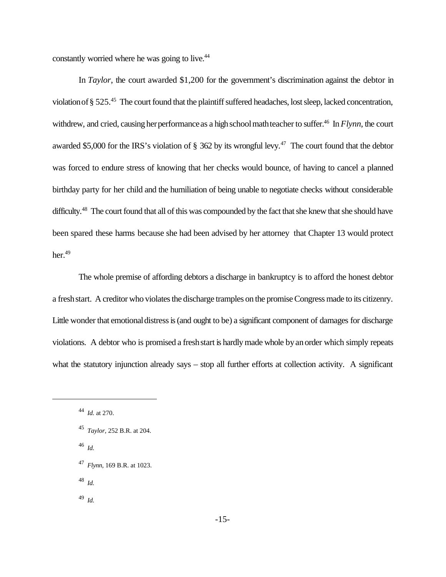constantly worried where he was going to live.<sup>44</sup>

In *Taylor*, the court awarded \$1,200 for the government's discrimination against the debtor in violation of § 525.<sup>45</sup> The court found that the plaintiff suffered headaches, lost sleep, lacked concentration, withdrew, and cried, causing her performance as a high school math teacher to suffer.<sup>46</sup> In *Flynn*, the court awarded \$5,000 for the IRS's violation of  $\S$  362 by its wrongful levy.<sup>47</sup> The court found that the debtor was forced to endure stress of knowing that her checks would bounce, of having to cancel a planned birthday party for her child and the humiliation of being unable to negotiate checks without considerable difficulty.<sup>48</sup> The court found that all of this was compounded by the fact that she knew that she should have been spared these harms because she had been advised by her attorney that Chapter 13 would protect her. $49$ 

The whole premise of affording debtors a discharge in bankruptcy is to afford the honest debtor a freshstart. A creditor who violates the discharge tramples on the promise Congress made to its citizenry. Little wonder that emotional distress is (and ought to be) a significant component of damages for discharge violations. A debtor who is promised a freshstart is hardlymade whole byanorder which simply repeats what the statutory injunction already says – stop all further efforts at collection activity. A significant

46 *Id.*

- 48 *Id.*
- 49 *Id.*

<sup>44</sup> *Id.* at 270.

<sup>45</sup> *Taylor,* 252 B.R. at 204.

<sup>47</sup> *Flynn*, 169 B.R. at 1023.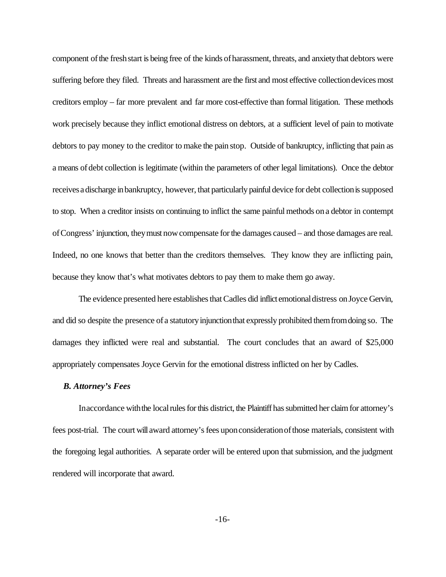component of the fresh start is being free of the kinds of harassment, threats, and anxiety that debtors were suffering before they filed. Threats and harassment are the first and most effective collection devices most creditors employ – far more prevalent and far more cost-effective than formal litigation. These methods work precisely because they inflict emotional distress on debtors, at a sufficient level of pain to motivate debtors to pay money to the creditor to make the pain stop. Outside of bankruptcy, inflicting that pain as a means of debt collection is legitimate (within the parameters of other legal limitations). Once the debtor receivesadischarge inbankruptcy, however, that particularly painful device for debt collectionissupposed to stop. When a creditor insists on continuing to inflict the same painfulmethods ona debtor in contempt ofCongress' injunction, theymust nowcompensate forthe damages caused – and those damages are real. Indeed, no one knows that better than the creditors themselves. They know they are inflicting pain, because they know that's what motivates debtors to pay them to make them go away.

The evidence presented here establishes that Cadles did inflict emotional distress on Joyce Gervin, and did so despite the presence of a statutoryinjunctionthat expressly prohibited themfromdoing so. The damages they inflicted were real and substantial. The court concludes that an award of \$25,000 appropriately compensates Joyce Gervin for the emotional distress inflicted on her by Cadles.

#### *B. Attorney's Fees*

In accordance with the local rules for this district, the Plaintiff has submitted her claim for attorney's fees post-trial. The court will award attorney's fees upon consideration of those materials, consistent with the foregoing legal authorities. A separate order will be entered upon that submission, and the judgment rendered will incorporate that award.